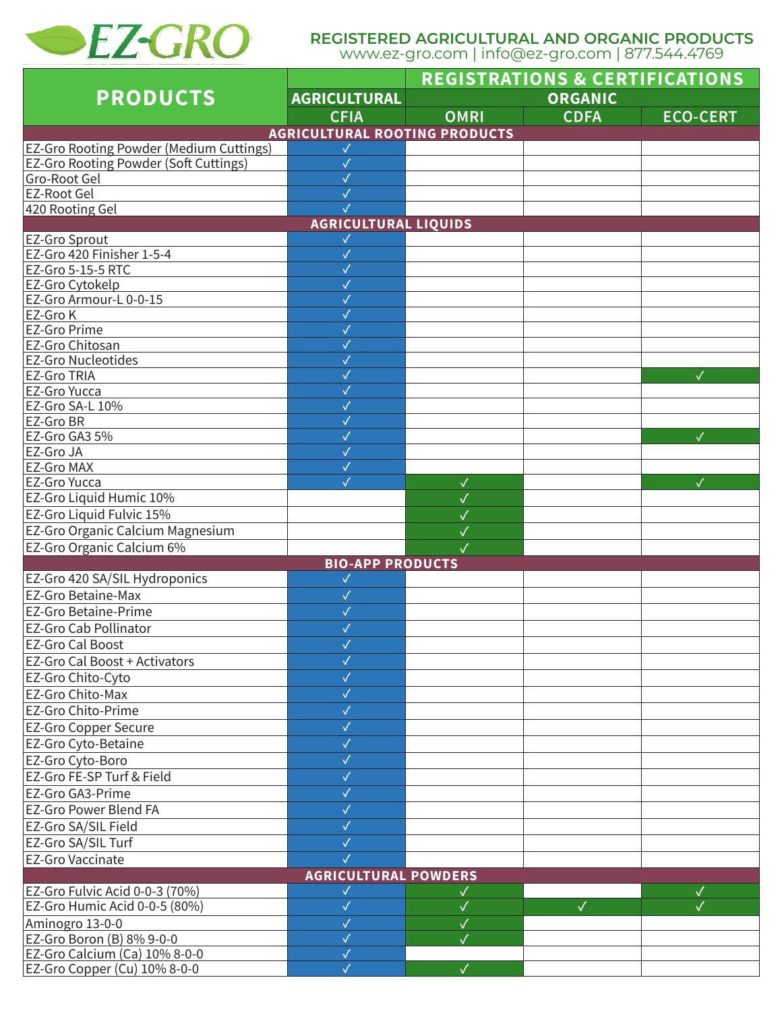

## **REGISTERED AGRICULTURAL AND ORGANIC PRODUCTS**

www.ez-gro.com | info@ez-gro.com | 877.544.4769

|                                                                     |                              | <b>REGISTRATIONS &amp; CERTIFICATIONS</b><br><b>ORGANIC</b> |              |                 |  |  |  |
|---------------------------------------------------------------------|------------------------------|-------------------------------------------------------------|--------------|-----------------|--|--|--|
| <b>PRODUCTS</b>                                                     | <b>AGRICULTURAL</b>          |                                                             |              |                 |  |  |  |
|                                                                     | <b>CFIA</b>                  | <b>OMRI</b>                                                 | <b>CDFA</b>  | <b>ECO-CERT</b> |  |  |  |
| <b>AGRICULTURAL ROOTING PRODUCTS</b>                                |                              |                                                             |              |                 |  |  |  |
| EZ-Gro Rooting Powder (Medium Cuttings)                             | $\sqrt{}$                    |                                                             |              |                 |  |  |  |
| EZ-Gro Rooting Powder (Soft Cuttings)                               | $\checkmark$                 |                                                             |              |                 |  |  |  |
| Gro-Root Gel                                                        | $\sqrt{}$                    |                                                             |              |                 |  |  |  |
| <b>EZ-Root Gel</b>                                                  | √                            |                                                             |              |                 |  |  |  |
| 420 Rooting Gel                                                     |                              |                                                             |              |                 |  |  |  |
| <b>AGRICULTURAL LIQUIDS</b><br><b>EZ-Gro Sprout</b><br>$\checkmark$ |                              |                                                             |              |                 |  |  |  |
| EZ-Gro 420 Finisher 1-5-4                                           | $\checkmark$                 |                                                             |              |                 |  |  |  |
| EZ-Gro 5-15-5 RTC                                                   | $\checkmark$                 |                                                             |              |                 |  |  |  |
| EZ-Gro Cytokelp                                                     | $\checkmark$                 |                                                             |              |                 |  |  |  |
| EZ-Gro Armour-L 0-0-15                                              | $\checkmark$                 |                                                             |              |                 |  |  |  |
| EZ-Gro K                                                            | $\checkmark$                 |                                                             |              |                 |  |  |  |
| <b>EZ-Gro Prime</b>                                                 | $\checkmark$                 |                                                             |              |                 |  |  |  |
| EZ-Gro Chitosan                                                     | $\checkmark$                 |                                                             |              |                 |  |  |  |
| <b>EZ-Gro Nucleotides</b>                                           | √                            |                                                             |              |                 |  |  |  |
| <b>EZ-Gro TRIA</b>                                                  | $\checkmark$                 |                                                             |              | $\checkmark$    |  |  |  |
| <b>EZ-Gro Yucca</b>                                                 | √                            |                                                             |              |                 |  |  |  |
| EZ-Gro SA-L 10%                                                     | $\checkmark$                 |                                                             |              |                 |  |  |  |
| EZ-Gro BR<br>EZ-Gro GA3 5%                                          | $\checkmark$<br>$\checkmark$ |                                                             |              | $\checkmark$    |  |  |  |
| EZ-Gro JA                                                           | $\checkmark$                 |                                                             |              |                 |  |  |  |
| <b>EZ-Gro MAX</b>                                                   | √                            |                                                             |              |                 |  |  |  |
| <b>EZ-Gro Yucca</b>                                                 | $\checkmark$                 | $\checkmark$                                                |              | $\checkmark$    |  |  |  |
| EZ-Gro Liquid Humic 10%                                             |                              | $\checkmark$                                                |              |                 |  |  |  |
| EZ-Gro Liquid Fulvic 15%                                            |                              | $\checkmark$                                                |              |                 |  |  |  |
| EZ-Gro Organic Calcium Magnesium                                    |                              | $\checkmark$                                                |              |                 |  |  |  |
| EZ-Gro Organic Calcium 6%                                           |                              | $\checkmark$                                                |              |                 |  |  |  |
| <b>BIO-APP PRODUCTS</b>                                             |                              |                                                             |              |                 |  |  |  |
| EZ-Gro 420 SA/SIL Hydroponics                                       | $\checkmark$                 |                                                             |              |                 |  |  |  |
| <b>EZ-Gro Betaine-Max</b>                                           | $\checkmark$                 |                                                             |              |                 |  |  |  |
| <b>EZ-Gro Betaine-Prime</b>                                         | $\checkmark$                 |                                                             |              |                 |  |  |  |
| <b>EZ-Gro Cab Pollinator</b>                                        | √                            |                                                             |              |                 |  |  |  |
| <b>EZ-Gro Cal Boost</b>                                             | ✓                            |                                                             |              |                 |  |  |  |
| EZ-Gro Cal Boost + Activators                                       | $\checkmark$                 |                                                             |              |                 |  |  |  |
| EZ-Gro Chito-Cyto                                                   | $\checkmark$                 |                                                             |              |                 |  |  |  |
| EZ-Gro Chito-Max                                                    | $\checkmark$                 |                                                             |              |                 |  |  |  |
| <b>EZ-Gro Chito-Prime</b>                                           | $\checkmark$                 |                                                             |              |                 |  |  |  |
| <b>EZ-Gro Copper Secure</b>                                         | $\checkmark$                 |                                                             |              |                 |  |  |  |
| EZ-Gro Cyto-Betaine                                                 | $\checkmark$                 |                                                             |              |                 |  |  |  |
| EZ-Gro Cyto-Boro                                                    | √                            |                                                             |              |                 |  |  |  |
| EZ-Gro FE-SP Turf & Field                                           | √                            |                                                             |              |                 |  |  |  |
| EZ-Gro GA3-Prime                                                    | $\checkmark$                 |                                                             |              |                 |  |  |  |
| <b>EZ-Gro Power Blend FA</b>                                        | $\checkmark$                 |                                                             |              |                 |  |  |  |
| EZ-Gro SA/SIL Field                                                 | $\checkmark$                 |                                                             |              |                 |  |  |  |
| EZ-Gro SA/SIL Turf                                                  | √                            |                                                             |              |                 |  |  |  |
| <b>EZ-Gro Vaccinate</b>                                             | $\checkmark$                 |                                                             |              |                 |  |  |  |
| <b>AGRICULTURAL POWDERS</b>                                         |                              |                                                             |              |                 |  |  |  |
| EZ-Gro Fulvic Acid 0-0-3 (70%)                                      | √                            | ✓                                                           |              | √               |  |  |  |
| EZ-Gro Humic Acid 0-0-5 (80%)                                       | $\checkmark$                 | $\checkmark$                                                | $\checkmark$ | $\checkmark$    |  |  |  |
| Aminogro 13-0-0                                                     | $\checkmark$                 | $\checkmark$                                                |              |                 |  |  |  |
| EZ-Gro Boron (B) 8% 9-0-0                                           | $\checkmark$                 | $\checkmark$                                                |              |                 |  |  |  |
| EZ-Gro Calcium (Ca) 10% 8-0-0                                       | $\checkmark$                 |                                                             |              |                 |  |  |  |
| EZ-Gro Copper (Cu) 10% 8-0-0                                        | $\checkmark$                 | $\checkmark$                                                |              |                 |  |  |  |